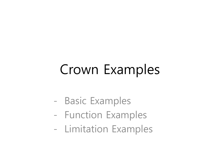## Crown Examples

- Basic Examples
- Function Examples
- Limitation Examples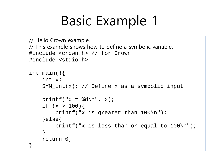```
// Hello Crown example.
// This example shows how to define a symbolic variable.
#include <crown.h> // for Crown 
#include <stdio.h>
int main(){
    int x;
    SYM_int(x); // Define x as a symbolic input.
    printf("x = \frac{2}{3}d\n", x);
    if (x > 100)printf("x is greater than 100\n");
    }else{
         printf("x is less than or equal to 100\n");
    }
    return 0;
}
```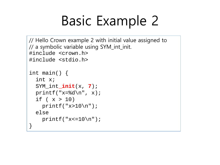```
// Hello Crown example 2 with initial value assigned to 
// a symbolic variable using SYM_int_init.
#include <crown.h> 
#include <stdio.h>
int main() {
  int x;
  SYM int init(x, 7);
  printf("x=d \nvert n", x);
  if (x > 10)
    printf("x>10\n");
  else 
    printf("x <= 10 \n\pi");
```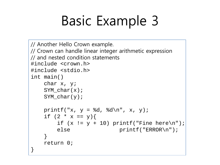```
// Another Hello Crown example.
// Crown can handle linear integer arithmetic expression
// and nested condition statements
#include <crown.h>
#include <stdio.h>
int main()
    char x, y;
    SYM_char(x);
    SYM_char(y);
    printf("x, y = \frac{3}{d} \cdot \frac{3}{d} \cdot x, y;
    if (2 * x == y)if (x := y + 10) printf("Fine here\n");
         else printf("ERROR\n");
     }
    return 0;
}
```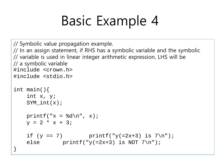```
// Symbolic value propagation example. 
// In an assign statement, if RHS has a symbolic variable and the symbolic 
// variable is used in linear integer arithmetic expression, LHS will be 
// a symbolic variable
#include <crown.h>
#include <stdio.h>
int main(){
    int x, y;
    SYM_int(x);
    printf("x = %d \n\pi", x);
    y = 2 * x + 3;if (y == 7) printf("y(=2x+3) is 7\pi");
    else printf("y(=2x+3) is NOT 7\pi");
}
```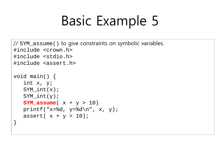```
// SYM_assume() to give constraints on symbolic variables. 
#include <crown.h>
#include <stdio.h>
#include <assert.h>
void main() {
   int x, y;
   SYM\_int(x);SYM int(y);
   SYM_assume(x + y > 10)printf("x=%d, y=%d\n", x, y);
   assert(x + y > 10);
}
```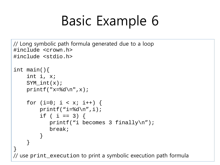```
// Long symbolic path formula generated due to a loop 
#include <crown.h>
#include <stdio.h>
int main(){
     int i, x;
     SYM\_int(x);printf("x=\delta d \nightharpoonup x);
     for (i=0; i < x; i++) {
         printf("i=\daggera);
         if ( i == 3) {
             printf("i becomes 3 finally\n\times");
             break;
          }
     }
}
```
// use print\_execution to print a symbolic execution path formula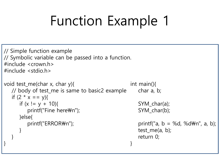## Function Example 1

```
// Simple function example
// Symbolic variable can be passed into a function.
#include <crown.h>
#include <stdio.h>
void test_me(char x, char y){
   // body of test_me is same to basic2 example
   if (2 * x == v)if (x != y + 10){
         printf("Fine here\mathcal{W}n");
      }else{
         printf("ERROR\n");
       }
   }
}
                                                     int main(){
                                                        char a, b;
                                                        SYM char(a);
                                                        SYM_char(b);
                                                        printf("a, b = %d, %d\m", a, b);
                                                        test_me(a, b);
                                                        return 0;
                                                     }
```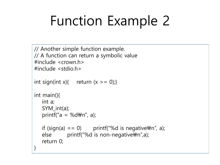### Function Example 2

```
// Another simple function example.
// A function can return a symbolic value
#include <crown.h>
#include <stdio.h>
```

```
int sign(int x){ return (x >= 0);}
```

```
int main(){
```

```
int a;
SYM_int(a);
```

```
printf("a = %d\mathcal{H}n", a);
```

```
if (sign(a) == 0) printf("%d is negative\n", a);
else printf("%d is non-negative\n",a);
return 0;
```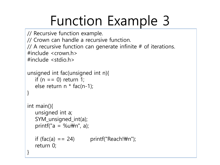#### Function Example 3

```
// Recursive function example. 
// Crown can handle a recursive function. 
// A recursive function can generate infinite # of iterations.
\#include \leqcrown h>#include <stdio.h>
unsigned int fac(unsigned int n){
   if (n == 0) return 1;
   else return n * fac(n-1);
}
int main(){
   unsigned int a;
   SYM_unsigned_int(a);
   printf("a = %u\m", a);
   if (fac(a) == 24) printf("Reach!\n");
   return 0;
}
```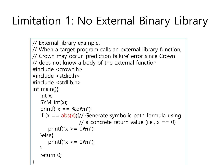#### Limitation 1: No External Binary Library

```
// External library example.
// When a target program calls an external library function, 
// Crown may occur 'prediction failure' error since Crown
// does not know a body of the external function
#include <crown.h>
#include <stdio.h>
#include <stdlib.h>
int main(){
   int x;
   SYM_int(x);
   printf("x = 2%d\m");
   if (x == abs(x)){// Generate symbolic path formula using
                   // a concrete return value (i.e., x == 0)
      printf("x > = 0\m");
   }else{
      printf("x \le 0 \text{Wn}");
   }
   return 0;
}
```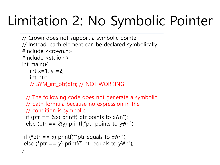# Limitation 2: No Symbolic Pointer

```
// Crown does not support a symbolic pointer 
// Instead, each element can be declared symbolically 
#include <crown.h>
#include <stdio.h>
int main(){
   int x=1, y =2;
   int ptr; 
   // SYM_int_ptr(ptr); // NOT WORKING
 // The following code does not generate a symbolic
 // path formula because no expression in the 
 // condition is symbolic
 if (ptr == 8x) printf("ptr points to x\mathcal{W}n");
 else (ptr == \&y) printf("ptr points to y\m");
if (*ptr == x) printf("*ptr equals to x\mathcal{W}n");
else (*ptr == y) printf("*ptr equals to y\m");
}
```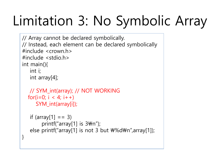# Limitation 3: No Symbolic Array

```
// Array cannot be declared symbolically. 
// Instead, each element can be declared symbolically 
#include <crown.h>
#include <stdio.h>
int main(){
   int i;
   int array[4];
   // SYM_int(array); // NOT WORKING
  for(i=0; i < 4; i++)
      SYM_int(array[i]);
   if (\text{array}[1] == 3)printf("array[1] is 3\text{Wn}");
   else printf("array[1] is not 3 but \mathsf{W}\%d\mathsf{W}\mathsf{n}",array[1]);
}
```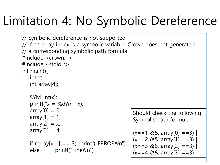#### Limitation 4: No Symbolic Dereference

```
// Symbolic dereference is not supported. 
// If an array index is a symbolic variable, Crown does not generated 
// a corresponding symbolic path formula 
#include <crown.h>
#include <stdio.h>
int main(){
   int x;
   int array[4];
   SYM int(x);
   printf("x = %d\m", x);
   array[0] = 0;array[1] = 1;\arctan[2] = x;array[3] = 4;if (\arctan(x-1) == 3) printf("ERROR\n");
   else printf("Fine\m");
                                                Should check the following 
                                                Symbolic path formula
                                                (x == 1 \& 8 \& array[0] == 3) ||
                                               (x == 2 \& 8 \& array[1] == 3)|
                                                (x == 3 \& 8 \& \text{ array[2]} == 3)|
                                                (x=-4 \&\& \text{ array}[3] == 3)
```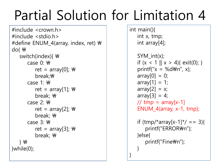## Partial Solution for Limitation 4

```
#include <crown.h>
#include <stdio.h>
#define ENUM_4(array, index, ret) \mathcal W\mathsf{do}{ \mathsf{W}switch(index)\{\ \mathsf{\mathsf{\mathsf{\mathsf{W}}}}case 0: \mathcal{W}ret = array[0]; \mathcal{W}break; \mathcal Wcase 1: \mathcal Wret = array[1]; \mathcal{W}break; Wcase 2: \mathcal{W}ret = array[2]; \mathcal{W}break; \mathcal Wcase 3: \mathcal{W}ret = array[3]; \mathcal{W}break; \mathbf{\Psi}\} \mathcal{H}}while(0);
```

```
int main(){
   int x, tmp;
   int array[4];
   SYM int(x);
   if (x < 1 \mid x > 4){ exit(0); }
   printf("x = %d\m", x);
   array[0] = 0;array[1] = 1;array[2] = x;array[3] = 4;// tmp = array[x-1]ENUM_4(array, x-1, tmp);
   if (tmp/*array[x-1]*/ == 3){
      printf("ERROR\n");
   }else{
      printf("Fine\n");
   }
```